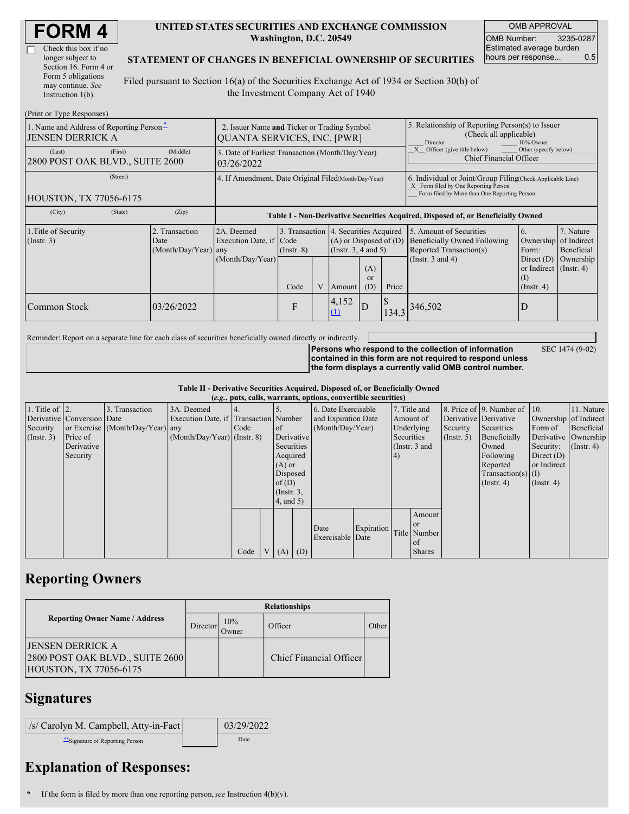| Check this box if no  |
|-----------------------|
| longer subject to     |
| Section 16. Form 4 or |
| Form 5 obligations    |
| may continue. See     |
| Instruction 1(b).     |

#### **UNITED STATES SECURITIES AND EXCHANGE COMMISSION Washington, D.C. 20549**

OMB APPROVAL OMB Number: 3235-0287 Estimated average burden hours per response... 0.5

#### **STATEMENT OF CHANGES IN BENEFICIAL OWNERSHIP OF SECURITIES**

Filed pursuant to Section 16(a) of the Securities Exchange Act of 1934 or Section 30(h) of the Investment Company Act of 1940

| (Print or Type Responses)                                           |                                                                            |                                                                                  |                 |   |                                                                                             |                                                                                                     |                                                                                                                                                    |                                                                                                                    |                                                                |                                      |
|---------------------------------------------------------------------|----------------------------------------------------------------------------|----------------------------------------------------------------------------------|-----------------|---|---------------------------------------------------------------------------------------------|-----------------------------------------------------------------------------------------------------|----------------------------------------------------------------------------------------------------------------------------------------------------|--------------------------------------------------------------------------------------------------------------------|----------------------------------------------------------------|--------------------------------------|
| 1. Name and Address of Reporting Person*<br><b>JENSEN DERRICK A</b> | 2. Issuer Name and Ticker or Trading Symbol<br>QUANTA SERVICES, INC. [PWR] |                                                                                  |                 |   |                                                                                             | 5. Relationship of Reporting Person(s) to Issuer<br>(Check all applicable)<br>Director<br>10% Owner |                                                                                                                                                    |                                                                                                                    |                                                                |                                      |
| (First)<br>(Last)<br>2800 POST OAK BLVD., SUITE 2600                | (Middle)                                                                   | 3. Date of Earliest Transaction (Month/Day/Year)<br>03/26/2022                   |                 |   |                                                                                             |                                                                                                     |                                                                                                                                                    | Other (specify below)<br>Officer (give title below)<br><b>Chief Financial Officer</b>                              |                                                                |                                      |
| (Street)<br><b>HOUSTON, TX 77056-6175</b>                           | 4. If Amendment, Date Original Filed(Month/Day/Year)                       |                                                                                  |                 |   |                                                                                             |                                                                                                     | 6. Individual or Joint/Group Filing Check Applicable Line)<br>X Form filed by One Reporting Person<br>Form filed by More than One Reporting Person |                                                                                                                    |                                                                |                                      |
| (City)<br>(State)                                                   | (Zip)                                                                      | Table I - Non-Derivative Securities Acquired, Disposed of, or Beneficially Owned |                 |   |                                                                                             |                                                                                                     |                                                                                                                                                    |                                                                                                                    |                                                                |                                      |
| 1. Title of Security<br>$($ Instr. 3 $)$                            | 2. Transaction<br>Date<br>(Month/Day/Year) any                             | 2A. Deemed<br>Execution Date, if Code<br>(Month/Day/Year)                        | $($ Instr. $8)$ |   | 3. Transaction 4. Securities Acquired<br>$(A)$ or Disposed of $(D)$<br>(Insert. 3, 4 and 5) |                                                                                                     |                                                                                                                                                    | 5. Amount of Securities<br><b>Beneficially Owned Following</b><br>Reported Transaction(s)<br>(Instr. $3$ and $4$ ) | 6.<br>Ownership of Indirect<br>Form:<br>Direct $(D)$           | 7. Nature<br>Beneficial<br>Ownership |
|                                                                     |                                                                            |                                                                                  | Code            | V | Amount                                                                                      | (A)<br><sub>or</sub><br>(D)                                                                         | Price                                                                                                                                              |                                                                                                                    | or Indirect $($ Instr. 4 $)$<br>$\left($ I<br>$($ Instr. 4 $)$ |                                      |
| Common Stock                                                        | 03/26/2022                                                                 |                                                                                  | F               |   | 4,152<br>(1)                                                                                | $\overline{D}$                                                                                      | 134.3                                                                                                                                              | 346,502                                                                                                            | D                                                              |                                      |

Reminder: Report on a separate line for each class of securities beneficially owned directly or indirectly.

SEC 1474 (9-02)

**Persons who respond to the collection of information contained in this form are not required to respond unless the form displays a currently valid OMB control number.**

**Table II - Derivative Securities Acquired, Disposed of, or Beneficially Owned (***e.g.***, puts, calls, warrants, options, convertible securities)**

| $(0.5)$ , puts, cans, warrants, options, convertible securities |                            |                                  |                                       |      |  |                 |  |                     |                  |            |               |                       |                              |                       |                      |            |
|-----------------------------------------------------------------|----------------------------|----------------------------------|---------------------------------------|------|--|-----------------|--|---------------------|------------------|------------|---------------|-----------------------|------------------------------|-----------------------|----------------------|------------|
| 1. Title of $\vert$ 2.                                          |                            | 3. Transaction                   | 3A. Deemed                            |      |  |                 |  | 6. Date Exercisable |                  |            | 7. Title and  |                       | 8. Price of 9. Number of 10. |                       | 11. Nature           |            |
|                                                                 | Derivative Conversion Date |                                  | Execution Date, if Transaction Number |      |  |                 |  | and Expiration Date |                  | Amount of  |               | Derivative Derivative |                              | Ownership of Indirect |                      |            |
| Security                                                        |                            | or Exercise (Month/Day/Year) any |                                       | Code |  | $\circ$ f       |  |                     | (Month/Day/Year) |            | Underlying    |                       | Security                     | Securities            | Form of              | Beneficial |
| $($ Instr. 3 $)$                                                | Price of                   |                                  | $(Month/Day/Year)$ (Instr. 8)         |      |  | Derivative      |  |                     |                  | Securities |               | (Insert. 5)           | Beneficially                 |                       | Derivative Ownership |            |
|                                                                 | Derivative                 |                                  |                                       |      |  | Securities      |  |                     |                  |            | (Instr. 3 and |                       | Owned                        | Security:             | $($ Instr. 4 $)$     |            |
|                                                                 | Security                   |                                  |                                       |      |  | Acquired        |  |                     |                  | (4)        |               |                       | Following                    | Direct $(D)$          |                      |            |
|                                                                 |                            |                                  |                                       |      |  | $(A)$ or        |  |                     |                  |            |               |                       | Reported                     | or Indirect           |                      |            |
|                                                                 |                            |                                  |                                       |      |  | Disposed        |  |                     |                  |            |               |                       | Transaction(s) $(I)$         |                       |                      |            |
|                                                                 |                            |                                  |                                       |      |  | of(D)           |  |                     |                  |            |               |                       | $($ Instr. 4 $)$             | $($ Instr. 4 $)$      |                      |            |
|                                                                 |                            |                                  |                                       |      |  | $($ Instr. $3,$ |  |                     |                  |            |               |                       |                              |                       |                      |            |
|                                                                 |                            |                                  |                                       |      |  | 4, and 5)       |  |                     |                  |            |               |                       |                              |                       |                      |            |
|                                                                 |                            |                                  |                                       |      |  |                 |  |                     |                  |            | Amount        |                       |                              |                       |                      |            |
|                                                                 |                            |                                  |                                       |      |  |                 |  | Date                | Expiration       |            | or or         |                       |                              |                       |                      |            |
|                                                                 |                            |                                  |                                       |      |  |                 |  | Exercisable Date    |                  |            | Title Number  |                       |                              |                       |                      |            |
|                                                                 |                            |                                  |                                       |      |  |                 |  |                     |                  |            | of            |                       |                              |                       |                      |            |
|                                                                 |                            |                                  |                                       | Code |  | $(A)$ $(D)$     |  |                     |                  |            | <b>Shares</b> |                       |                              |                       |                      |            |

## **Reporting Owners**

|                                                                                       | <b>Relationships</b> |              |                         |       |  |  |  |  |
|---------------------------------------------------------------------------------------|----------------------|--------------|-------------------------|-------|--|--|--|--|
| <b>Reporting Owner Name / Address</b>                                                 | Director             | 10%<br>Owner | Officer                 | Other |  |  |  |  |
| IJENSEN DERRICK A<br>2800 POST OAK BLVD., SUITE 2600<br><b>HOUSTON, TX 77056-6175</b> |                      |              | Chief Financial Officer |       |  |  |  |  |

# **Signatures**

| $ $ /s/ Carolyn M. Campbell, Atty-in-Fact | 03/29/2022 |
|-------------------------------------------|------------|
| Signature of Reporting Person             | Date       |

## **Explanation of Responses:**

**\*** If the form is filed by more than one reporting person,*see* Instruction 4(b)(v).